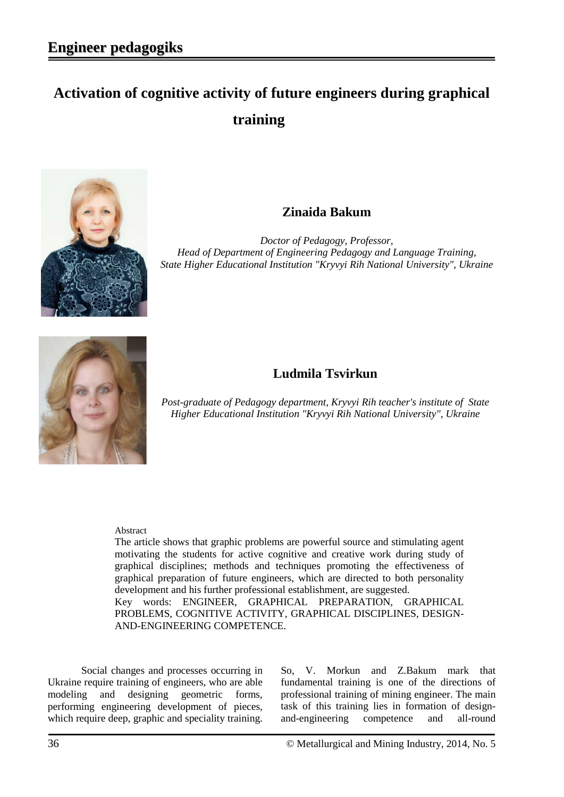# **Activation of cognitive activity of future engineers during graphical training**



### **Zinaida Bakum**

*Doctor of Pedagogy, Professor, Head of Department of Engineering Pedagogy and Language Training, State Higher Educational Institution "Kryvyi Rih National University", Ukraine*



## **Ludmila Tsvirkun**

*Post-graduate of Pedagogy department, Kryvyi Rih teacher's institute of State Higher Educational Institution "Kryvyi Rih National University", Ukraine*

#### Abstract

The article shows that graphic problems are powerful source and stimulating agent motivating the students for active cognitive and creative work during study of graphical disciplines; methods and techniques promoting the effectiveness of graphical preparation of future engineers, which are directed to both personality development and his further professional establishment, are suggested. Key words: ENGINEER, GRAPHICAL PREPARATION, GRAPHICAL PROBLEMS, COGNITIVE ACTIVITY, GRAPHICAL DISCIPLINES, DESIGN-AND-ENGINEERING COMPETENCE.

Social changes and processes occurring in Ukraine require training of engineers, who are able modeling and designing geometric forms, performing engineering development of pieces, which require deep, graphic and speciality training.

So, V. Morkun and Z.Bakum mark that fundamental training is one of the directions of professional training of mining engineer. The main task of this training lies in formation of designand-engineering competence and all-round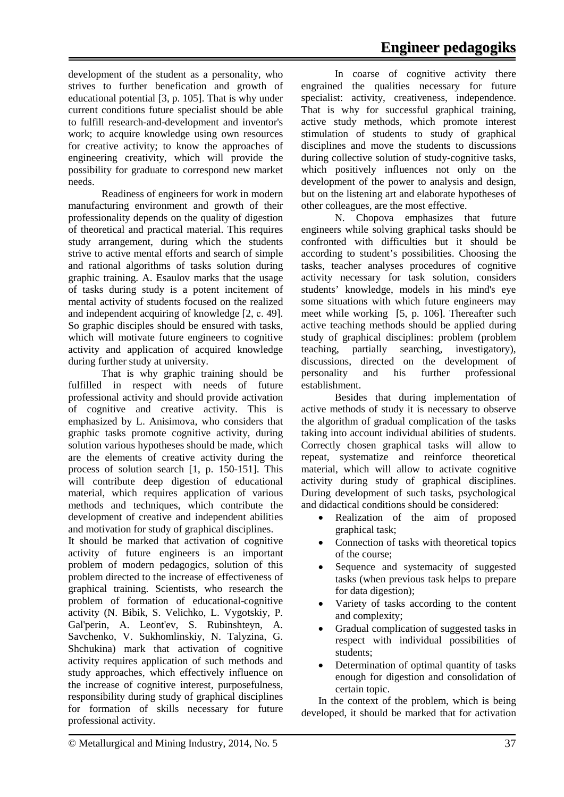development of the student as a personality, who strives to further benefication and growth of educational potential [3, p. 105]. That is why under current conditions future specialist should be able to fulfill research-and-development and inventor's work; to acquire knowledge using own resources for creative activity; to know the approaches of engineering creativity, which will provide the possibility for graduate to correspond new market needs.

Readiness of engineers for work in modern manufacturing environment and growth of their professionality depends on the quality of digestion of theoretical and practical material. This requires study arrangement, during which the students strive to active mental efforts and search of simple and rational algorithms of tasks solution during graphic training. A. Esaulov marks that the usage of tasks during study is a potent incitement of mental activity of students focused on the realized and independent acquiring of knowledge [2, с. 49]. So graphic disciples should be ensured with tasks, which will motivate future engineers to cognitive activity and application of acquired knowledge during further study at university.

That is why graphic training should be fulfilled in respect with needs of future professional activity and should provide activation of cognitive and creative activity. This is emphasized by L. Anisimova, who considers that graphic tasks promote cognitive activity, during solution various hypotheses should be made, which are the elements of creative activity during the process of solution search [1, p. 150-151]. This will contribute deep digestion of educational material, which requires application of various methods and techniques, which contribute the development of creative and independent abilities and motivation for study of graphical disciplines.

It should be marked that activation of cognitive activity of future engineers is an important problem of modern pedagogics, solution of this problem directed to the increase of effectiveness of graphical training. Scientists, who research the problem of formation of educational-cognitive activity (N. Bibik, S. Velichko, L. Vygotskiy, P. Gal'perin, A. Leont'ev, S. Rubinshteyn, A. Savchenko, V. Sukhomlinskiy, N. Talyzina, G. Shchukina) mark that activation of cognitive activity requires application of such methods and study approaches, which effectively influence on the increase of cognitive interest, purposefulness, responsibility during study of graphical disciplines for formation of skills necessary for future professional activity.

In coarse of cognitive activity there engrained the qualities necessary for future specialist: activity, creativeness, independence. That is why for successful graphical training, active study methods, which promote interest stimulation of students to study of graphical disciplines and move the students to discussions during collective solution of study-cognitive tasks, which positively influences not only on the development of the power to analysis and design, but on the listening art and elaborate hypotheses of other colleagues, are the most effective.

N. Chopova emphasizes that future engineers while solving graphical tasks should be confronted with difficulties but it should be according to student's possibilities. Choosing the tasks, teacher analyses procedures of cognitive activity necessary for task solution, considers students' knowledge, models in his mind's eye some situations with which future engineers may meet while working [5, p. 106]. Thereafter such active teaching methods should be applied during study of graphical disciplines: problem (problem teaching, partially searching, investigatory), discussions, directed on the development of personality and his further professional establishment.

Besides that during implementation of active methods of study it is necessary to observe the algorithm of gradual complication of the tasks taking into account individual abilities of students. Correctly chosen graphical tasks will allow to repeat, systematize and reinforce theoretical material, which will allow to activate cognitive activity during study of graphical disciplines. During development of such tasks, psychological and didactical conditions should be considered:

- Realization of the aim of proposed graphical task;
- Connection of tasks with theoretical topics of the course;
- Sequence and systemacity of suggested tasks (when previous task helps to prepare for data digestion);
- Variety of tasks according to the content and complexity;
- Gradual complication of suggested tasks in respect with individual possibilities of students;
- Determination of optimal quantity of tasks enough for digestion and consolidation of certain topic.

In the context of the problem, which is being developed, it should be marked that for activation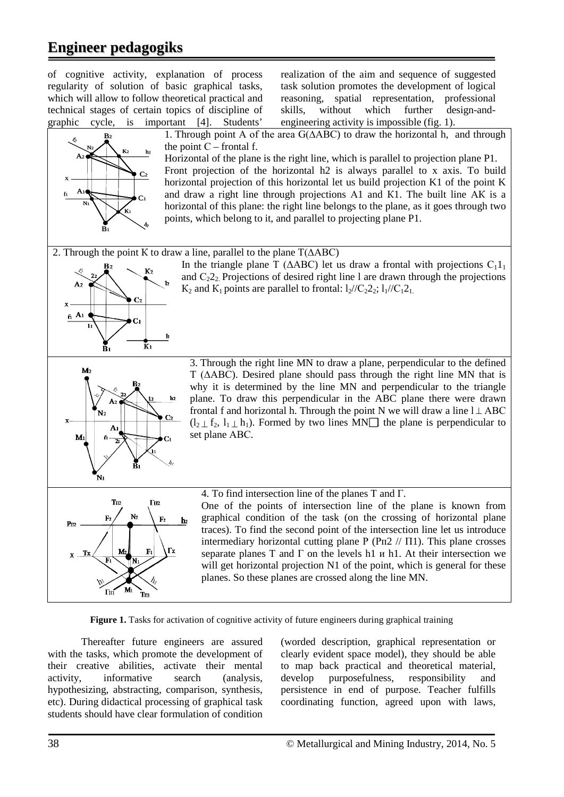## **Engineer pedagogiks**



**Figure 1.** Tasks for activation of cognitive activity of future engineers during graphical training

Thereafter future engineers are assured with the tasks, which promote the development of their creative abilities, activate their mental activity, informative search (analysis, hypothesizing, abstracting, comparison, synthesis, etc). During didactical processing of graphical task students should have clear formulation of condition

(worded description, graphical representation or clearly evident space model), they should be able to map back practical and theoretical material, develop purposefulness, responsibility and persistence in end of purpose. Teacher fulfills coordinating function, agreed upon with laws,